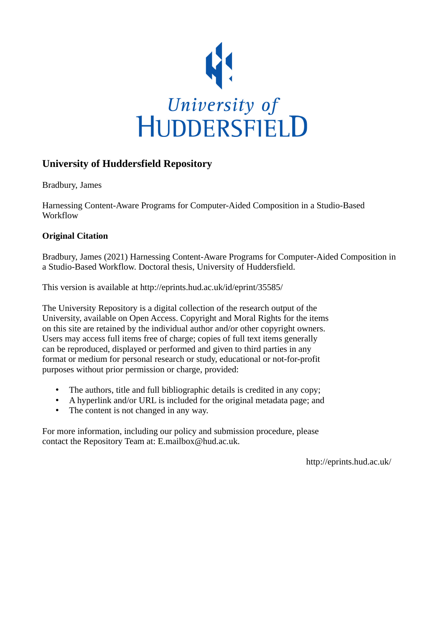

# **University of Huddersfield Repository**

Bradbury, James

Harnessing Content-Aware Programs for Computer-Aided Composition in a Studio-Based Workflow

## **Original Citation**

Bradbury, James (2021) Harnessing Content-Aware Programs for Computer-Aided Composition in a Studio-Based Workflow. Doctoral thesis, University of Huddersfield.

This version is available at http://eprints.hud.ac.uk/id/eprint/35585/

The University Repository is a digital collection of the research output of the University, available on Open Access. Copyright and Moral Rights for the items on this site are retained by the individual author and/or other copyright owners. Users may access full items free of charge; copies of full text items generally can be reproduced, displayed or performed and given to third parties in any format or medium for personal research or study, educational or not-for-profit purposes without prior permission or charge, provided:

- The authors, title and full bibliographic details is credited in any copy;
- A hyperlink and/or URL is included for the original metadata page; and
- The content is not changed in any way.

For more information, including our policy and submission procedure, please contact the Repository Team at: E.mailbox@hud.ac.uk.

http://eprints.hud.ac.uk/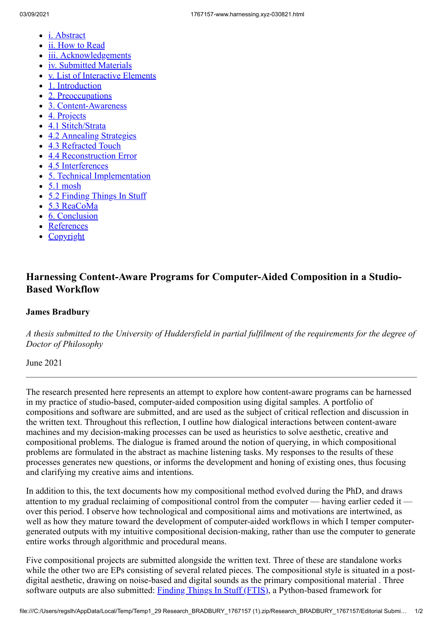- [i. Abstract](https://www.harnessing.xyz/)
- [ii. How to Read](https://www.harnessing.xyz/howto)
- [iii. Acknowledgements](https://www.harnessing.xyz/acknowledgements)
- [iv. Submitted Materials](https://www.harnessing.xyz/submission-materials)
- [v. List of Interactive Elements](https://www.harnessing.xyz/list-of-interactive-elements)  $\bullet$
- [1. Introduction](https://www.harnessing.xyz/introduction)
- [2. Preoccupations](https://www.harnessing.xyz/preoccupations)
- [3. Content-Awareness](https://www.harnessing.xyz/content-awareness)
- [4. Projects](https://www.harnessing.xyz/projects)
- [4.1 Stitch/Strata](https://www.harnessing.xyz/projects/stitch-strata)
- [4.2 Annealing Strategies](https://www.harnessing.xyz/projects/annealing-strategies)
- [4.3 Refracted Touch](https://www.harnessing.xyz/projects/refracted-touch)
- [4.4 Reconstruction Error](https://www.harnessing.xyz/projects/reconstruction-error)
- [4.5 Interferences](https://www.harnessing.xyz/projects/interferences)
- [5. Technical Implementation](https://www.harnessing.xyz/tech)
- $\bullet$  [5.1 mosh](https://www.harnessing.xyz/tech/mosh)
- [5.2 Finding Things In Stuff](https://www.harnessing.xyz/tech/ftis)
- [5.3 ReaCoMa](https://www.harnessing.xyz/tech/reacoma)
- [6. Conclusion](https://www.harnessing.xyz/conclusion)
- [References](https://www.harnessing.xyz/references)
- [Copyright](https://www.harnessing.xyz/copyright)

## **Harnessing Content-Aware Programs for Computer-Aided Composition in a Studio-Based Workflow**

## **James Bradbury**

*A thesis submitted to the University of Huddersfield in partial fulfilment of the requirements for the degree of Doctor of Philosophy*

June 2021

The research presented here represents an attempt to explore how content-aware programs can be harnessed in my practice of studio-based, computer-aided composition using digital samples. A portfolio of compositions and software are submitted, and are used as the subject of critical reflection and discussion in the written text. Throughout this reflection, I outline how dialogical interactions between content-aware machines and my decision-making processes can be used as heuristics to solve aesthetic, creative and compositional problems. The dialogue is framed around the notion of querying, in which compositional problems are formulated in the abstract as machine listening tasks. My responses to the results of these processes generates new questions, or informs the development and honing of existing ones, thus focusing and clarifying my creative aims and intentions.

In addition to this, the text documents how my compositional method evolved during the PhD, and draws attention to my gradual reclaiming of compositional control from the computer — having earlier ceded it over this period. I observe how technological and compositional aims and motivations are intertwined, as well as how they mature toward the development of computer-aided workflows in which I temper computergenerated outputs with my intuitive compositional decision-making, rather than use the computer to generate entire works through algorithmic and procedural means.

Five compositional projects are submitted alongside the written text. Three of these are standalone works while the other two are EPs consisting of several related pieces. The compositional style is situated in a postdigital aesthetic, drawing on noise-based and digital sounds as the primary compositional material . Three software outputs are also submitted: [Finding Things In Stuff \(FTIS\),](https://www.harnessing.xyz/tech/ftis) a Python-based framework for